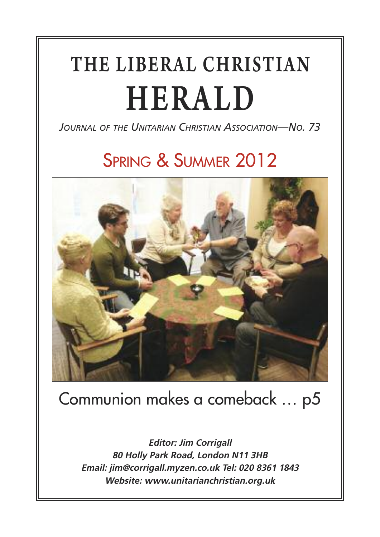# THE LIBERAL CHRISTIAN HERALD

*JOURNAL OF THE UNITARIAN CHRISTIAN ASSOCIATION—NO. 73*

### SPRING & SUMMER 2012



### Communion makes a comeback … p5

**Editor: Jim Corrigall 80 Holly Park Road, London N11 3HB Email: jim@corrigall.myzen.co.uk Tel: 020 8361 1843 Website: www.unitarianchristian.org.uk**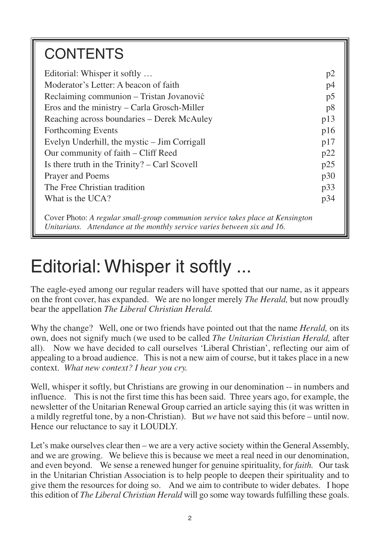### **CONTENTS**

| Editorial: Whisper it softly                                                     | p2  |
|----------------------------------------------------------------------------------|-----|
| Moderator's Letter: A beacon of faith                                            | p4  |
| Reclaiming communion - Tristan Jovanović                                         | p5  |
| Eros and the ministry – Carla Grosch-Miller                                      | p8  |
| Reaching across boundaries – Derek McAuley                                       | p13 |
| Forthcoming Events                                                               | p16 |
| Evelyn Underhill, the mystic – Jim Corrigall                                     | p17 |
| Our community of faith – Cliff Reed                                              | p22 |
| Is there truth in the Trinity? – Carl Scovell                                    | p25 |
| Prayer and Poems                                                                 | p30 |
| The Free Christian tradition                                                     | p33 |
| What is the UCA?                                                                 | p34 |
| Corre Dhotar A usantan surally anama sannuncian samisa taksa plasa at Vanginatan |     |

Cover Photo: *A regular small-group communion service takes place at Kensington Unitarians. Attendance at the monthly service varies between six and 16.*

### Editorial: Whisper it softly ...

The eagle-eyed among our regular readers will have spotted that our name, as it appears on the front cover, has expanded. We are no longer merely *The Herald,* but now proudly bear the appellation *The Liberal Christian Herald.*

Why the change? Well, one or two friends have pointed out that the name *Herald,* on its own, does not signify much (we used to be called *The Unitarian Christian Herald,* after all). Now we have decided to call ourselves 'Liberal Christian', reflecting our aim of appealing to a broad audience. This is not a new aim of course, but it takes place in a new context. *What new context? I hear you cry.*

Well, whisper it softly, but Christians are growing in our denomination -- in numbers and influence. This is not the first time this has been said. Three years ago, for example, the newsletter of the Unitarian Renewal Group carried an article saying this (it was written in a mildly regretful tone, by a non-Christian). But *we* have not said this before – until now. Hence our reluctance to say it LOUDLY.

Let's make ourselves clear then – we are a very active society within the General Assembly, and we are growing. We believe this is because we meet a real need in our denomination, and even beyond. We sense a renewed hunger for genuine spirituality, for *faith.* Our task in the Unitarian Christian Association is to help people to deepen their spirituality and to give them the resources for doing so. And we aim to contribute to wider debates. I hope this edition of *The Liberal Christian Herald* will go some way towards fulfilling these goals.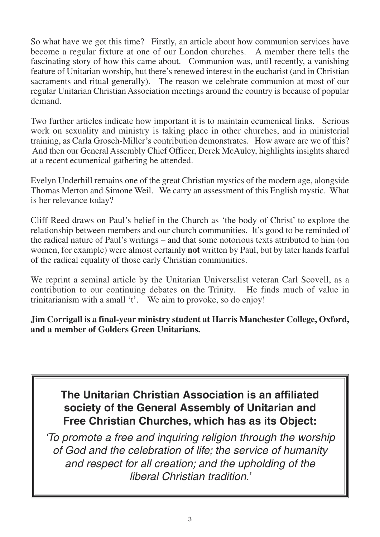So what have we got this time? Firstly, an article about how communion services have become a regular fixture at one of our London churches. A member there tells the fascinating story of how this came about. Communion was, until recently, a vanishing feature of Unitarian worship, but there's renewed interest in the eucharist (and in Christian sacraments and ritual generally). The reason we celebrate communion at most of our regular Unitarian Christian Association meetings around the country is because of popular demand.

Two further articles indicate how important it is to maintain ecumenical links. Serious work on sexuality and ministry is taking place in other churches, and in ministerial training, as Carla Grosch-Miller's contribution demonstrates. How aware are we of this? And then our General Assembly Chief Officer, Derek McAuley, highlights insights shared at a recent ecumenical gathering he attended.

Evelyn Underhill remains one of the great Christian mystics of the modern age, alongside Thomas Merton and Simone Weil. We carry an assessment of this English mystic. What is her relevance today?

Cliff Reed draws on Paul's belief in the Church as 'the body of Christ' to explore the relationship between members and our church communities. It's good to be reminded of the radical nature of Paul's writings – and that some notorious texts attributed to him (on women, for example) were almost certainly **not** written by Paul, but by later hands fearful of the radical equality of those early Christian communities.

We reprint a seminal article by the Unitarian Universalist veteran Carl Scovell, as a contribution to our continuing debates on the Trinity. He finds much of value in trinitarianism with a small 't'. We aim to provoke, so do enjoy!

**Jim Corrigall is a final-year ministry student at Harris Manchester College, Oxford, and a member of Golders Green Unitarians.**

### **The Unitarian Christian Association is an affiliated society of the General Assembly of Unitarian and Free Christian Churches, which has as its Object:**

*'To promote a free and inquiring religion through the worship of God and the celebration of life; the service of humanity and respect for all creation; and the upholding of the liberal Christian tradition.'*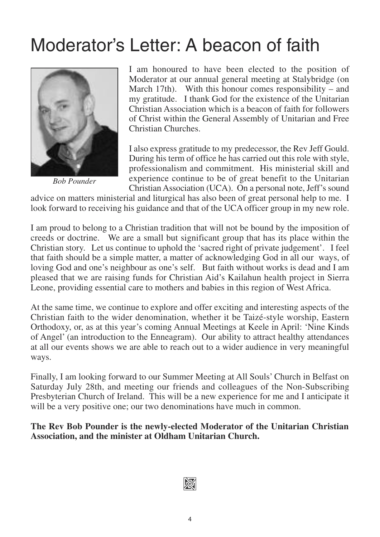### Moderator's Letter: A beacon of faith



*Bob Pounder*

I am honoured to have been elected to the position of Moderator at our annual general meeting at Stalybridge (on March 17th). With this honour comes responsibility – and my gratitude. I thank God for the existence of the Unitarian Christian Association which is a beacon of faith for followers of Christ within the General Assembly of Unitarian and Free Christian Churches.

I also express gratitude to my predecessor, the Rev Jeff Gould. During his term of office he has carried out this role with style, professionalism and commitment. His ministerial skill and experience continue to be of great benefit to the Unitarian Christian Association (UCA). On a personal note, Jeff's sound

advice on matters ministerial and liturgical has also been of great personal help to me. I look forward to receiving his guidance and that of the UCA officer group in my new role.

I am proud to belong to a Christian tradition that will not be bound by the imposition of creeds or doctrine. We are a small but significant group that has its place within the Christian story. Let us continue to uphold the 'sacred right of private judgement'. I feel that faith should be a simple matter, a matter of acknowledging God in all our ways, of loving God and one's neighbour as one's self. But faith without works is dead and I am pleased that we are raising funds for Christian Aid's Kailahun health project in Sierra Leone, providing essential care to mothers and babies in this region of West Africa.

At the same time, we continue to explore and offer exciting and interesting aspects of the Christian faith to the wider denomination, whether it be Taizé-style worship, Eastern Orthodoxy, or, as at this year's coming Annual Meetings at Keele in April: 'Nine Kinds of Angel' (an introduction to the Enneagram). Our ability to attract healthy attendances at all our events shows we are able to reach out to a wider audience in very meaningful ways.

Finally, I am looking forward to our Summer Meeting at All Souls' Church in Belfast on Saturday July 28th, and meeting our friends and colleagues of the Non-Subscribing Presbyterian Church of Ireland. This will be a new experience for me and I anticipate it will be a very positive one; our two denominations have much in common.

**The Rev Bob Pounder is the newly-elected Moderator of the Unitarian Christian Association, and the minister at Oldham Unitarian Church.**

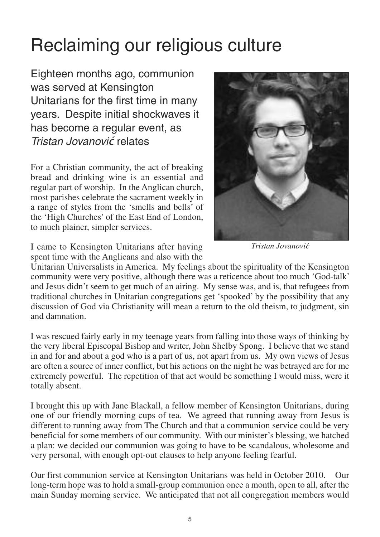### Reclaiming our religious culture

Eighteen months ago, communion was served at Kensington Unitarians for the first time in many years. Despite initial shockwaves it has become a regular event, as *Tristan Jovanovi*ć relates

For a Christian community, the act of breaking bread and drinking wine is an essential and regular part of worship. In the Anglican church, most parishes celebrate the sacrament weekly in a range of styles from the 'smells and bells' of the 'High Churches' of the East End of London, to much plainer, simpler services.



*Tristan Jovanovi´c*

I came to Kensington Unitarians after having spent time with the Anglicans and also with the

Unitarian Universalists in America. My feelings about the spirituality of the Kensington community were very positive, although there was a reticence about too much 'God-talk' and Jesus didn't seem to get much of an airing. My sense was, and is, that refugees from traditional churches in Unitarian congregations get 'spooked' by the possibility that any discussion of God via Christianity will mean a return to the old theism, to judgment, sin and damnation.

I was rescued fairly early in my teenage years from falling into those ways of thinking by the very liberal Episcopal Bishop and writer, John Shelby Spong. I believe that we stand in and for and about a god who is a part of us, not apart from us. My own views of Jesus are often a source of inner conflict, but his actions on the night he was betrayed are for me extremely powerful. The repetition of that act would be something I would miss, were it totally absent.

I brought this up with Jane Blackall, a fellow member of Kensington Unitarians, during one of our friendly morning cups of tea. We agreed that running away from Jesus is different to running away from The Church and that a communion service could be very beneficial for some members of our community. With our minister's blessing, we hatched a plan: we decided our communion was going to have to be scandalous, wholesome and very personal, with enough opt-out clauses to help anyone feeling fearful.

Our first communion service at Kensington Unitarians was held in October 2010. Our long-term hope was to hold a small-group communion once a month, open to all, after the main Sunday morning service. We anticipated that not all congregation members would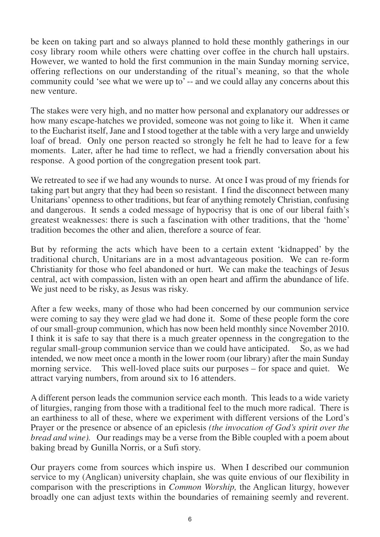be keen on taking part and so always planned to hold these monthly gatherings in our cosy library room while others were chatting over coffee in the church hall upstairs. However, we wanted to hold the first communion in the main Sunday morning service, offering reflections on our understanding of the ritual's meaning, so that the whole community could 'see what we were up to' -- and we could allay any concerns about this new venture.

The stakes were very high, and no matter how personal and explanatory our addresses or how many escape-hatches we provided, someone was not going to like it. When it came to the Eucharist itself, Jane and I stood together at the table with a very large and unwieldy loaf of bread. Only one person reacted so strongly he felt he had to leave for a few moments. Later, after he had time to reflect, we had a friendly conversation about his response. A good portion of the congregation present took part.

We retreated to see if we had any wounds to nurse. At once I was proud of my friends for taking part but angry that they had been so resistant. I find the disconnect between many Unitarians' openness to other traditions, but fear of anything remotely Christian, confusing and dangerous. It sends a coded message of hypocrisy that is one of our liberal faith's greatest weaknesses: there is such a fascination with other traditions, that the 'home' tradition becomes the other and alien, therefore a source of fear.

But by reforming the acts which have been to a certain extent 'kidnapped' by the traditional church, Unitarians are in a most advantageous position. We can re-form Christianity for those who feel abandoned or hurt. We can make the teachings of Jesus central, act with compassion, listen with an open heart and affirm the abundance of life. We just need to be risky, as Jesus was risky.

After a few weeks, many of those who had been concerned by our communion service were coming to say they were glad we had done it. Some of these people form the core of our small-group communion, which has now been held monthly since November 2010. I think it is safe to say that there is a much greater openness in the congregation to the regular small-group communion service than we could have anticipated. So, as we had intended, we now meet once a month in the lower room (our library) after the main Sunday morning service. This well-loved place suits our purposes – for space and quiet. We attract varying numbers, from around six to 16 attenders.

A different person leads the communion service each month. This leads to a wide variety of liturgies, ranging from those with a traditional feel to the much more radical. There is an earthiness to all of these, where we experiment with different versions of the Lord's Prayer or the presence or absence of an epiclesis *(the invocation of God's spirit over the bread and wine).* Our readings may be a verse from the Bible coupled with a poem about baking bread by Gunilla Norris, or a Sufi story.

Our prayers come from sources which inspire us. When I described our communion service to my (Anglican) university chaplain, she was quite envious of our flexibility in comparison with the prescriptions in *Common Worship,* the Anglican liturgy, however broadly one can adjust texts within the boundaries of remaining seemly and reverent.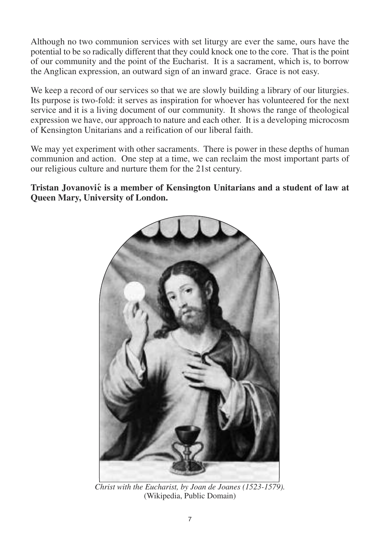Although no two communion services with set liturgy are ever the same, ours have the potential to be so radically different that they could knock one to the core. That is the point of our community and the point of the Eucharist. It is a sacrament, which is, to borrow the Anglican expression, an outward sign of an inward grace. Grace is not easy.

We keep a record of our services so that we are slowly building a library of our liturgies. Its purpose is two-fold: it serves as inspiration for whoever has volunteered for the next service and it is a living document of our community. It shows the range of theological expression we have, our approach to nature and each other. It is a developing microcosm of Kensington Unitarians and a reification of our liberal faith.

We may yet experiment with other sacraments. There is power in these depths of human communion and action. One step at a time, we can reclaim the most important parts of our religious culture and nurture them for the 21st century.

**Tristan Jovanovi´c is a member of Kensington Unitarians and a student of law at Queen Mary, University of London.**



*Christ with the Eucharist, by Joan de Joanes (1523-1579).* (Wikipedia, Public Domain)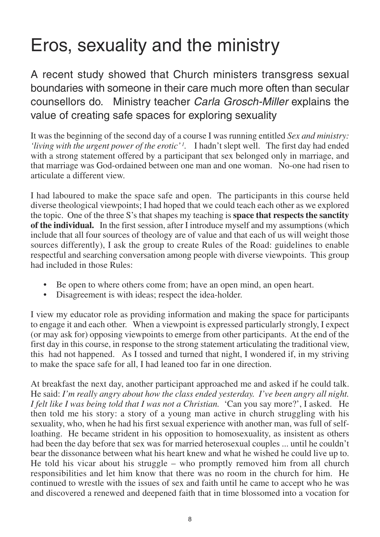### Eros, sexuality and the ministry

A recent study showed that Church ministers transgress sexual boundaries with someone in their care much more often than secular counsellors do. Ministry teacher *Carla Grosch-Miller* explains the value of creating safe spaces for exploring sexuality

It was the beginning of the second day of a course I was running entitled *Sex and ministry:* 'living with the urgent power of the erotic'<sup>1</sup>. I hadn't slept well. The first day had ended with a strong statement offered by a participant that sex belonged only in marriage, and that marriage was God-ordained between one man and one woman. No-one had risen to articulate a different view.

I had laboured to make the space safe and open. The participants in this course held diverse theological viewpoints; I had hoped that we could teach each other as we explored the topic. One of the three S's that shapes my teaching is **space that respects the sanctity of the individual.** In the first session, after I introduce myself and my assumptions (which include that all four sources of theology are of value and that each of us will weight those sources differently), I ask the group to create Rules of the Road: guidelines to enable respectful and searching conversation among people with diverse viewpoints. This group had included in those Rules:

- Be open to where others come from; have an open mind, an open heart.
- Disagreement is with ideas; respect the idea-holder.

I view my educator role as providing information and making the space for participants to engage it and each other. When a viewpoint is expressed particularly strongly, I expect (or may ask for) opposing viewpoints to emerge from other participants. At the end of the first day in this course, in response to the strong statement articulating the traditional view, this had not happened. As I tossed and turned that night, I wondered if, in my striving to make the space safe for all, I had leaned too far in one direction.

At breakfast the next day, another participant approached me and asked if he could talk. He said: *I'm really angry about how the class ended yesterday. I've been angry all night. I felt like I was being told that I was not a Christian.* 'Can you say more?', I asked. He then told me his story: a story of a young man active in church struggling with his sexuality, who, when he had his first sexual experience with another man, was full of selfloathing. He became strident in his opposition to homosexuality, as insistent as others had been the day before that sex was for married heterosexual couples ... until he couldn't bear the dissonance between what his heart knew and what he wished he could live up to. He told his vicar about his struggle – who promptly removed him from all church responsibilities and let him know that there was no room in the church for him. He continued to wrestle with the issues of sex and faith until he came to accept who he was and discovered a renewed and deepened faith that in time blossomed into a vocation for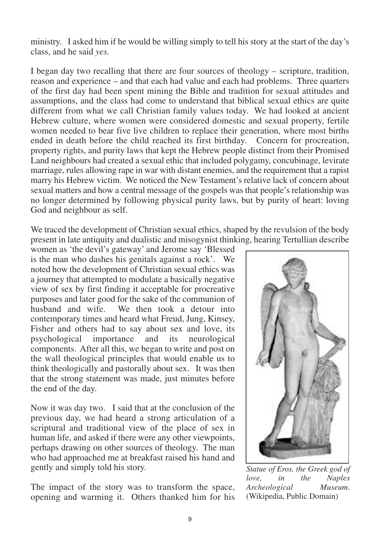ministry. I asked him if he would be willing simply to tell his story at the start of the day's class, and he said *yes.*

I began day two recalling that there are four sources of theology – scripture, tradition, reason and experience – and that each had value and each had problems. Three quarters of the first day had been spent mining the Bible and tradition for sexual attitudes and assumptions, and the class had come to understand that biblical sexual ethics are quite different from what we call Christian family values today. We had looked at ancient Hebrew culture, where women were considered domestic and sexual property, fertile women needed to bear five live children to replace their generation, where most births ended in death before the child reached its first birthday. Concern for procreation, property rights, and purity laws that kept the Hebrew people distinct from their Promised Land neighbours had created a sexual ethic that included polygamy, concubinage, levirate marriage, rules allowing rape in war with distant enemies, and the requirement that a rapist marry his Hebrew victim. We noticed the New Testament's relative lack of concern about sexual matters and how a central message of the gospels was that people's relationship was no longer determined by following physical purity laws, but by purity of heart: loving God and neighbour as self.

We traced the development of Christian sexual ethics, shaped by the revulsion of the body present in late antiquity and dualistic and misogynist thinking, hearing Tertullian describe

women as 'the devil's gateway' and Jerome say 'Blessed is the man who dashes his genitals against a rock'. We noted how the development of Christian sexual ethics was a journey that attempted to modulate a basically negative view of sex by first finding it acceptable for procreative purposes and later good for the sake of the communion of husband and wife. We then took a detour into We then took a detour into contemporary times and heard what Freud, Jung, Kinsey, Fisher and others had to say about sex and love, its psychological importance and its neurological components. After all this, we began to write and post on the wall theological principles that would enable us to think theologically and pastorally about sex. It was then that the strong statement was made, just minutes before the end of the day.

Now it was day two. I said that at the conclusion of the previous day, we had heard a strong articulation of a scriptural and traditional view of the place of sex in human life, and asked if there were any other viewpoints, perhaps drawing on other sources of theology. The man who had approached me at breakfast raised his hand and gently and simply told his story.

The impact of the story was to transform the space, opening and warming it. Others thanked him for his



*Statue of Eros, the Greek god of love, in the Naples Archeological Museum.* (Wikipedia, Public Domain)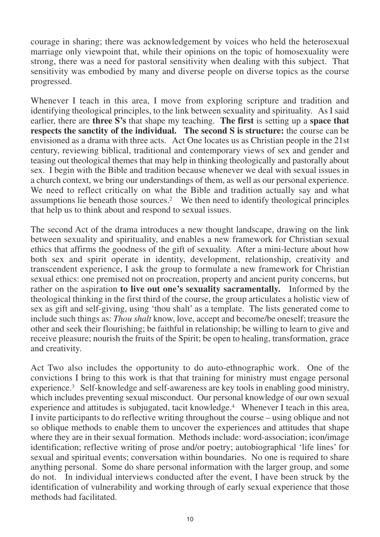courage in sharing; there was acknowledgement by voices who held the heterosexual marriage only viewpoint that, while their opinions on the topic of homosexuality were strong, there was a need for pastoral sensitivity when dealing with this subject. That sensitivity was embodied by many and diverse people on diverse topics as the course progressed.

Whenever I teach in this area, I move from exploring scripture and tradition and identifying theological principles, to the link between sexuality and spirituality. As I said earlier, there are **three S's** that shape my teaching. **The first** is setting up a **space that respects the sanctity of the individual. The second S is structure:** the course can be envisioned as a drama with three acts. Act One locates us as Christian people in the 21st century, reviewing biblical, traditional and contemporary views of sex and gender and teasing out theological themes that may help in thinking theologically and pastorally about sex. I begin with the Bible and tradition because whenever we deal with sexual issues in a church context, we bring our understandings of them, as well as our personal experience. We need to reflect critically on what the Bible and tradition actually say and what assumptions lie beneath those sources.2 We then need to identify theological principles that help us to think about and respond to sexual issues.

The second Act of the drama introduces a new thought landscape, drawing on the link between sexuality and spirituality, and enables a new framework for Christian sexual ethics that affirms the goodness of the gift of sexuality. After a mini-lecture about how both sex and spirit operate in identity, development, relationship, creativity and transcendent experience, I ask the group to formulate a new framework for Christian sexual ethics: one premised not on procreation, property and ancient purity concerns, but rather on the aspiration **to live out one's sexuality sacramentally.** Informed by the theological thinking in the first third of the course, the group articulates a holistic view of sex as gift and self-giving, using 'thou shalt' as a template. The lists generated come to include such things as: *Thou shalt* know, love, accept and become/be oneself; treasure the other and seek their flourishing; be faithful in relationship; be willing to learn to give and receive pleasure; nourish the fruits of the Spirit; be open to healing, transformation, grace and creativity.

Act Two also includes the opportunity to do auto-ethnographic work. One of the convictions I bring to this work is that that training for ministry must engage personal experience.3 Self-knowledge and self-awareness are key tools in enabling good ministry, which includes preventing sexual misconduct. Our personal knowledge of our own sexual experience and attitudes is subjugated, tacit knowledge.<sup>4</sup> Whenever I teach in this area, I invite participants to do reflective writing throughout the course – using oblique and not so oblique methods to enable them to uncover the experiences and attitudes that shape where they are in their sexual formation. Methods include: word-association; icon/image identification; reflective writing of prose and/or poetry; autobiographical 'life lines' for sexual and spiritual events; conversation within boundaries. No one is required to share anything personal. Some do share personal information with the larger group, and some do not. In individual interviews conducted after the event, I have been struck by the identification of vulnerability and working through of early sexual experience that those methods had facilitated.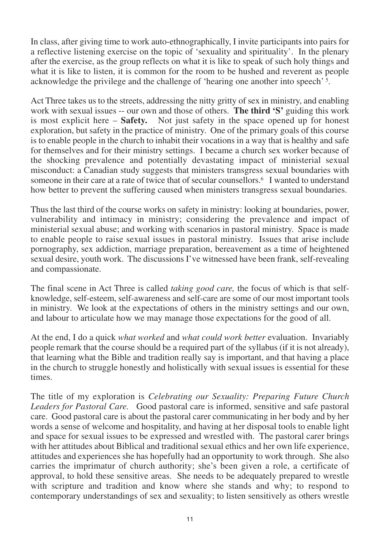In class, after giving time to work auto-ethnographically, I invite participants into pairs for a reflective listening exercise on the topic of 'sexuality and spirituality'. In the plenary after the exercise, as the group reflects on what it is like to speak of such holy things and what it is like to listen, it is common for the room to be hushed and reverent as people acknowledge the privilege and the challenge of 'hearing one another into speech' 5.

Act Three takes us to the streets, addressing the nitty gritty of sex in ministry, and enabling work with sexual issues -- our own and those of others. **The third 'S'** guiding this work is most explicit here – **Safety.** Not just safety in the space opened up for honest exploration, but safety in the practice of ministry. One of the primary goals of this course is to enable people in the church to inhabit their vocations in a way that is healthy and safe for themselves and for their ministry settings. I became a church sex worker because of the shocking prevalence and potentially devastating impact of ministerial sexual misconduct: a Canadian study suggests that ministers transgress sexual boundaries with someone in their care at a rate of twice that of secular counsellors.<sup>6</sup> I wanted to understand how better to prevent the suffering caused when ministers transgress sexual boundaries.

Thus the last third of the course works on safety in ministry: looking at boundaries, power, vulnerability and intimacy in ministry; considering the prevalence and impact of ministerial sexual abuse; and working with scenarios in pastoral ministry. Space is made to enable people to raise sexual issues in pastoral ministry. Issues that arise include pornography, sex addiction, marriage preparation, bereavement as a time of heightened sexual desire, youth work. The discussions I've witnessed have been frank, self-revealing and compassionate.

The final scene in Act Three is called *taking good care,* the focus of which is that selfknowledge, self-esteem, self-awareness and self-care are some of our most important tools in ministry. We look at the expectations of others in the ministry settings and our own, and labour to articulate how we may manage those expectations for the good of all.

At the end, I do a quick *what worked* and *what could work better* evaluation. Invariably people remark that the course should be a required part of the syllabus (if it is not already), that learning what the Bible and tradition really say is important, and that having a place in the church to struggle honestly and holistically with sexual issues is essential for these times.

The title of my exploration is *Celebrating our Sexuality: Preparing Future Church Leaders for Pastoral Care.* Good pastoral care is informed, sensitive and safe pastoral care. Good pastoral care is about the pastoral carer communicating in her body and by her words a sense of welcome and hospitality, and having at her disposal tools to enable light and space for sexual issues to be expressed and wrestled with. The pastoral carer brings with her attitudes about Biblical and traditional sexual ethics and her own life experience, attitudes and experiences she has hopefully had an opportunity to work through. She also carries the imprimatur of church authority; she's been given a role, a certificate of approval, to hold these sensitive areas. She needs to be adequately prepared to wrestle with scripture and tradition and know where she stands and why; to respond to contemporary understandings of sex and sexuality; to listen sensitively as others wrestle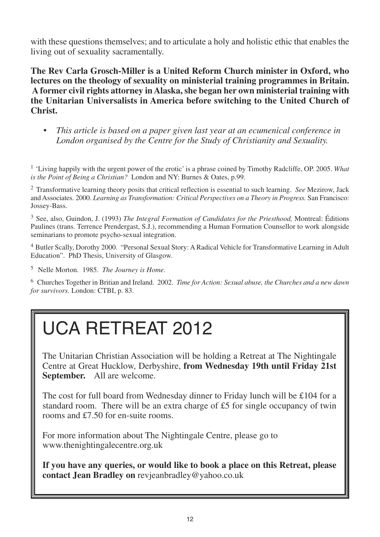with these questions themselves; and to articulate a holy and holistic ethic that enables the living out of sexuality sacramentally.

**The Rev Carla Grosch-Miller is a United Reform Church minister in Oxford, who lectures on the theology of sexuality on ministerial training programmes in Britain. A former civil rights attorney in Alaska, she began her own ministerial training with the Unitarian Universalists in America before switching to the United Church of Christ.**

• *This article is based on a paper given last year at an ecumenical conference in London organised by the Centre for the Study of Christianity and Sexuality.*

<sup>1</sup> 'Living happily with the urgent power of the erotic' is a phrase coined by Timothy Radcliffe, OP. 2005. *What is the Point of Being a Christian?* London and NY: Burnes & Oates, p.99.

<sup>2</sup> Transformative learning theory posits that critical reflection is essential to such learning. *See* Mezirow, Jack and Associates. 2000. *Learning as Transformation: Critical Perspectives on a Theory in Progress.* San Francisco: Jossey-Bass.

<sup>3</sup> See, also, Guindon, J. (1993) *The Integral Formation of Candidates for the Priesthood,* Montreal: Éditions Paulines (trans. Terrence Prendergast, S.J.), recommending a Human Formation Counsellor to work alongside seminarians to promote psycho-sexual integration.

<sup>4</sup> Butler Scally, Dorothy 2000. "Personal Sexual Story: A Radical Vehicle for Transformative Learning in Adult Education". PhD Thesis, University of Glasgow.

<sup>5</sup> Nelle Morton. 1985. *The Journey is Home.*

<sup>6</sup> Churches Together in Britian and Ireland. 2002. *Time for Action: Sexual abuse, the Churches and a new dawn for survivors.* London: CTBI, p. 83.

## UCA RETREAT 2012

The Unitarian Christian Association will be holding a Retreat at The Nightingale Centre at Great Hucklow, Derbyshire, **from Wednesday 19th until Friday 21st September.** All are welcome.

The cost for full board from Wednesday dinner to Friday lunch will be £104 for a standard room. There will be an extra charge of £5 for single occupancy of twin rooms and £7.50 for en-suite rooms.

For more information about The Nightingale Centre, please go to www.thenightingalecentre.org.uk

**If you have any queries, or would like to book a place on this Retreat, please contact Jean Bradley on** revjeanbradley@yahoo.co.uk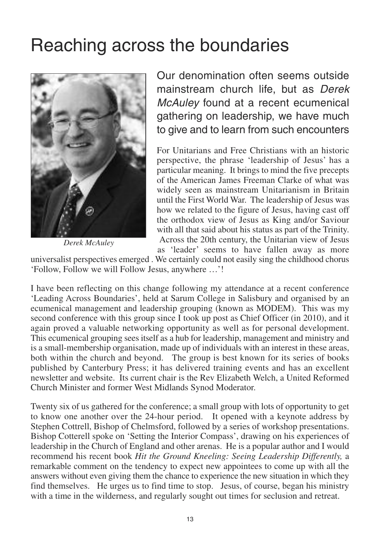### Reaching across the boundaries



*Derek McAuley*

Our denomination often seems outside mainstream church life, but as *Derek McAuley* found at a recent ecumenical gathering on leadership, we have much to give and to learn from such encounters

For Unitarians and Free Christians with an historic perspective, the phrase 'leadership of Jesus' has a particular meaning. It brings to mind the five precepts of the American James Freeman Clarke of what was widely seen as mainstream Unitarianism in Britain until the First World War. The leadership of Jesus was how we related to the figure of Jesus, having cast off the orthodox view of Jesus as King and/or Saviour with all that said about his status as part of the Trinity. Across the 20th century, the Unitarian view of Jesus as 'leader' seems to have fallen away as more

universalist perspectives emerged . We certainly could not easily sing the childhood chorus 'Follow, Follow we will Follow Jesus, anywhere …'!

I have been reflecting on this change following my attendance at a recent conference 'Leading Across Boundaries', held at Sarum College in Salisbury and organised by an ecumenical management and leadership grouping (known as MODEM). This was my second conference with this group since I took up post as Chief Officer (in 2010), and it again proved a valuable networking opportunity as well as for personal development. This ecumenical grouping sees itself as a hub for leadership, management and ministry and is a small-membership organisation, made up of individuals with an interest in these areas, both within the church and beyond. The group is best known for its series of books published by Canterbury Press; it has delivered training events and has an excellent newsletter and website. Its current chair is the Rev Elizabeth Welch, a United Reformed Church Minister and former West Midlands Synod Moderator.

Twenty six of us gathered for the conference; a small group with lots of opportunity to get to know one another over the 24-hour period. It opened with a keynote address by Stephen Cottrell, Bishop of Chelmsford, followed by a series of workshop presentations. Bishop Cotterell spoke on 'Setting the Interior Compass', drawing on his experiences of leadership in the Church of England and other arenas. He is a popular author and I would recommend his recent book *Hit the Ground Kneeling: Seeing Leadership Differently,* a remarkable comment on the tendency to expect new appointees to come up with all the answers without even giving them the chance to experience the new situation in which they find themselves. He urges us to find time to stop. Jesus, of course, began his ministry with a time in the wilderness, and regularly sought out times for seclusion and retreat.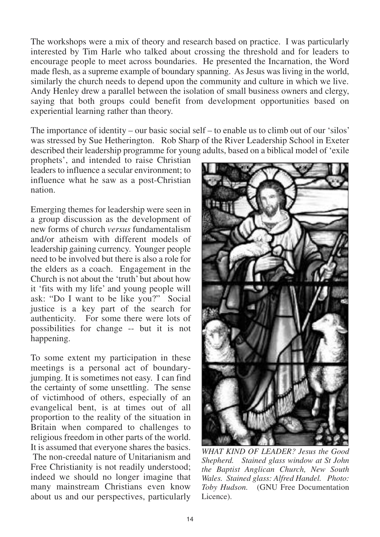The workshops were a mix of theory and research based on practice. I was particularly interested by Tim Harle who talked about crossing the threshold and for leaders to encourage people to meet across boundaries. He presented the Incarnation, the Word made flesh, as a supreme example of boundary spanning. As Jesus was living in the world, similarly the church needs to depend upon the community and culture in which we live. Andy Henley drew a parallel between the isolation of small business owners and clergy, saying that both groups could benefit from development opportunities based on experiential learning rather than theory.

The importance of identity – our basic social self – to enable us to climb out of our 'silos' was stressed by Sue Hetherington. Rob Sharp of the River Leadership School in Exeter described their leadership programme for young adults, based on a biblical model of 'exile

prophets', and intended to raise Christian leaders to influence a secular environment; to influence what he saw as a post-Christian nation.

Emerging themes for leadership were seen in a group discussion as the development of new forms of church *versus* fundamentalism and/or atheism with different models of leadership gaining currency. Younger people need to be involved but there is also a role for the elders as a coach. Engagement in the Church is not about the 'truth' but about how it 'fits with my life' and young people will ask: "Do I want to be like you?" Social justice is a key part of the search for authenticity. For some there were lots of possibilities for change -- but it is not happening.

To some extent my participation in these meetings is a personal act of boundaryjumping. It is sometimes not easy. I can find the certainty of some unsettling. The sense of victimhood of others, especially of an evangelical bent, is at times out of all proportion to the reality of the situation in Britain when compared to challenges to religious freedom in other parts of the world. It is assumed that everyone shares the basics. The non-creedal nature of Unitarianism and Free Christianity is not readily understood; indeed we should no longer imagine that many mainstream Christians even know about us and our perspectives, particularly



*WHAT KIND OF LEADER? Jesus the Good Shepherd. Stained glass window at St John the Baptist Anglican Church, New South Wales. Stained glass: Alfred Handel. Photo: Toby Hudson.* (GNU Free Documentation Licence).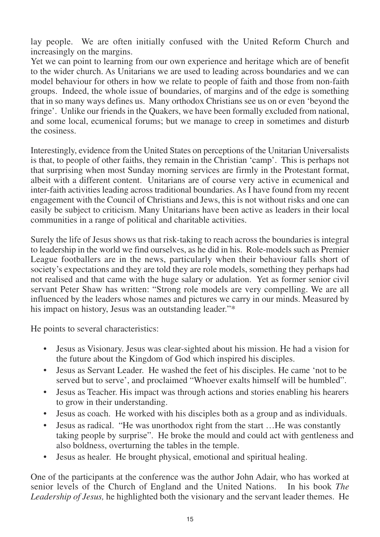lay people. We are often initially confused with the United Reform Church and increasingly on the margins.

Yet we can point to learning from our own experience and heritage which are of benefit to the wider church. As Unitarians we are used to leading across boundaries and we can model behaviour for others in how we relate to people of faith and those from non-faith groups. Indeed, the whole issue of boundaries, of margins and of the edge is something that in so many ways defines us. Many orthodox Christians see us on or even 'beyond the fringe'. Unlike our friends in the Quakers, we have been formally excluded from national, and some local, ecumenical forums; but we manage to creep in sometimes and disturb the cosiness.

Interestingly, evidence from the United States on perceptions of the Unitarian Universalists is that, to people of other faiths, they remain in the Christian 'camp'. This is perhaps not that surprising when most Sunday morning services are firmly in the Protestant format, albeit with a different content. Unitarians are of course very active in ecumenical and inter-faith activities leading across traditional boundaries. As I have found from my recent engagement with the Council of Christians and Jews, this is not without risks and one can easily be subject to criticism. Many Unitarians have been active as leaders in their local communities in a range of political and charitable activities.

Surely the life of Jesus shows us that risk-taking to reach across the boundaries is integral to leadership in the world we find ourselves, as he did in his. Role-models such as Premier League footballers are in the news, particularly when their behaviour falls short of society's expectations and they are told they are role models, something they perhaps had not realised and that came with the huge salary or adulation. Yet as former senior civil servant Peter Shaw has written: "Strong role models are very compelling. We are all influenced by the leaders whose names and pictures we carry in our minds. Measured by his impact on history, Jesus was an outstanding leader."\*

He points to several characteristics:

- Jesus as Visionary. Jesus was clear-sighted about his mission. He had a vision for the future about the Kingdom of God which inspired his disciples.
- Jesus as Servant Leader. He washed the feet of his disciples. He came 'not to be served but to serve', and proclaimed "Whoever exalts himself will be humbled".
- Jesus as Teacher. His impact was through actions and stories enabling his hearers to grow in their understanding.
- Jesus as coach. He worked with his disciples both as a group and as individuals.
- Jesus as radical. "He was unorthodox right from the start …He was constantly taking people by surprise". He broke the mould and could act with gentleness and also boldness, overturning the tables in the temple.
- Jesus as healer. He brought physical, emotional and spiritual healing.

One of the participants at the conference was the author John Adair, who has worked at senior levels of the Church of England and the United Nations. In his book *The Leadership of Jesus,* he highlighted both the visionary and the servant leader themes. He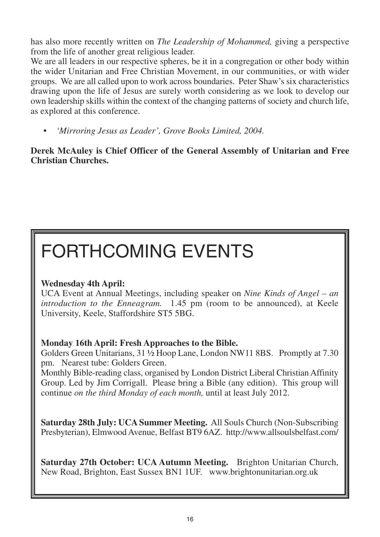has also more recently written on *The Leadership of Mohammed,* giving a perspective from the life of another great religious leader.

We are all leaders in our respective spheres, be it in a congregation or other body within the wider Unitarian and Free Christian Movement, in our communities, or with wider groups. We are all called upon to work across boundaries. Peter Shaw's six characteristics drawing upon the life of Jesus are surely worth considering as we look to develop our own leadership skills within the context of the changing patterns of society and church life, as explored at this conference.

• *'Mirroring Jesus as Leader', Grove Books Limited, 2004.*

**Derek McAuley is Chief Officer of the General Assembly of Unitarian and Free Christian Churches.**

# FORTHCOMING EVENTS

### **Wednesday 4th April:**

UCA Event at Annual Meetings, including speaker on *Nine Kinds of Angel – an introduction to the Enneagram.* 1.45 pm (room to be announced), at Keele University, Keele, Staffordshire ST5 5BG.

### **Monday 16th April: Fresh Approaches to the Bible.**

Golders Green Unitarians, 31 ½ Hoop Lane, London NW11 8BS. Promptly at 7.30 pm. Nearest tube: Golders Green.

Monthly Bible-reading class, organised by London District Liberal Christian Affinity Group. Led by Jim Corrigall. Please bring a Bible (any edition). This group will continue *on the third Monday of each month,* until at least July 2012.

**Saturday 28th July: UCA Summer Meeting.** All Souls Church (Non-Subscribing Presbyterian), Elmwood Avenue, Belfast BT9 6AZ. http://www.allsoulsbelfast.com/

**Saturday 27th October: UCA Autumn Meeting.** Brighton Unitarian Church, New Road, Brighton, East Sussex BN1 1UF. www.brightonunitarian.org.uk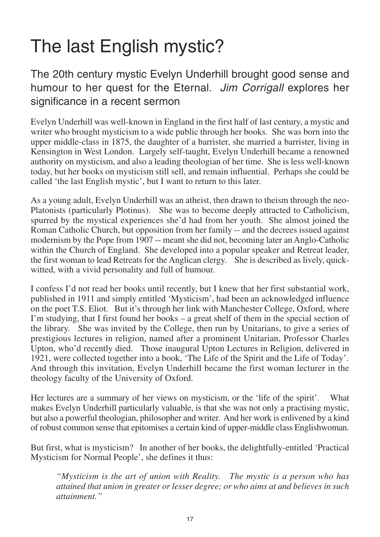## The last English mystic?

The 20th century mystic Evelyn Underhill brought good sense and humour to her quest for the Eternal. *Jim Corrigall* explores her significance in a recent sermon

Evelyn Underhill was well-known in England in the first half of last century, a mystic and writer who brought mysticism to a wide public through her books. She was born into the upper middle-class in 1875, the daughter of a barrister, she married a barrister, living in Kensington in West London. Largely self-taught, Evelyn Underhill became a renowned authority on mysticism, and also a leading theologian of her time. She is less well-known today, but her books on mysticism still sell, and remain influential. Perhaps she could be called 'the last English mystic', but I want to return to this later.

As a young adult, Evelyn Underhill was an atheist, then drawn to theism through the neo-Platonists (particularly Plotinus). She was to become deeply attracted to Catholicism, spurred by the mystical experiences she'd had from her youth. She almost joined the Roman Catholic Church, but opposition from her family -- and the decrees issued against modernism by the Pope from 1907 -- meant she did not, becoming later an Anglo-Catholic within the Church of England. She developed into a popular speaker and Retreat leader, the first woman to lead Retreats for the Anglican clergy. She is described as lively, quickwitted, with a vivid personality and full of humour.

I confess I'd not read her books until recently, but I knew that her first substantial work, published in 1911 and simply entitled 'Mysticism', had been an acknowledged influence on the poet T.S. Eliot. But it's through her link with Manchester College, Oxford, where I'm studying, that I first found her books – a great shelf of them in the special section of the library. She was invited by the College, then run by Unitarians, to give a series of prestigious lectures in religion, named after a prominent Unitarian, Professor Charles Upton, who'd recently died. Those inaugural Upton Lectures in Religion, delivered in 1921, were collected together into a book, 'The Life of the Spirit and the Life of Today'. And through this invitation, Evelyn Underhill became the first woman lecturer in the theology faculty of the University of Oxford.

Her lectures are a summary of her views on mysticism, or the 'life of the spirit'. What makes Evelyn Underhill particularly valuable, is that she was not only a practising mystic, but also a powerful theologian, philosopher and writer. And her work is enlivened by a kind of robust common sense that epitomises a certain kind of upper-middle class Englishwoman.

But first, what is mysticism? In another of her books, the delightfully-entitled 'Practical Mysticism for Normal People', she defines it thus:

*"Mysticism is the art of union with Reality. The mystic is a person who has attained that union in greater or lesser degree; or who aims at and believes in such attainment."*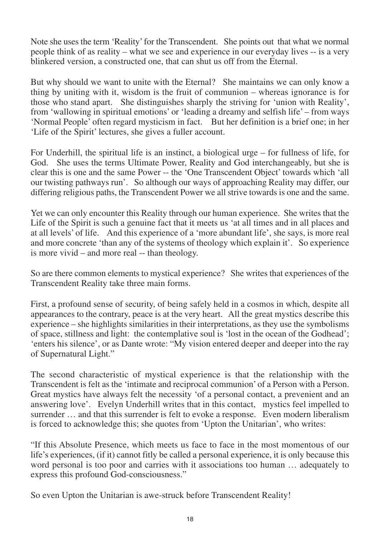Note she uses the term 'Reality' for the Transcendent. She points out that what we normal people think of as reality – what we see and experience in our everyday lives -- is a very blinkered version, a constructed one, that can shut us off from the Eternal.

But why should we want to unite with the Eternal? She maintains we can only know a thing by uniting with it, wisdom is the fruit of communion – whereas ignorance is for those who stand apart. She distinguishes sharply the striving for 'union with Reality', from 'wallowing in spiritual emotions' or 'leading a dreamy and selfish life' – from ways 'Normal People' often regard mysticism in fact. But her definition is a brief one; in her 'Life of the Spirit' lectures, she gives a fuller account.

For Underhill, the spiritual life is an instinct, a biological urge – for fullness of life, for God. She uses the terms Ultimate Power, Reality and God interchangeably, but she is clear this is one and the same Power -- the 'One Transcendent Object' towards which 'all our twisting pathways run'. So although our ways of approaching Reality may differ, our differing religious paths, the Transcendent Power we all strive towards is one and the same.

Yet we can only encounter this Reality through our human experience. She writes that the Life of the Spirit is such a genuine fact that it meets us 'at all times and in all places and at all levels' of life. And this experience of a 'more abundant life', she says, is more real and more concrete 'than any of the systems of theology which explain it'. So experience is more vivid – and more real -- than theology.

So are there common elements to mystical experience? She writes that experiences of the Transcendent Reality take three main forms.

First, a profound sense of security, of being safely held in a cosmos in which, despite all appearances to the contrary, peace is at the very heart. All the great mystics describe this experience – she highlights similarities in their interpretations, as they use the symbolisms of space, stillness and light: the contemplative soul is 'lost in the ocean of the Godhead'; 'enters his silence', or as Dante wrote: "My vision entered deeper and deeper into the ray of Supernatural Light."

The second characteristic of mystical experience is that the relationship with the Transcendent is felt as the 'intimate and reciprocal communion' of a Person with a Person. Great mystics have always felt the necessity 'of a personal contact, a prevenient and an answering love'. Evelyn Underhill writes that in this contact, mystics feel impelled to surrender … and that this surrender is felt to evoke a response. Even modern liberalism is forced to acknowledge this; she quotes from 'Upton the Unitarian', who writes:

"If this Absolute Presence, which meets us face to face in the most momentous of our life's experiences, (if it) cannot fitly be called a personal experience, it is only because this word personal is too poor and carries with it associations too human … adequately to express this profound God-consciousness."

So even Upton the Unitarian is awe-struck before Transcendent Reality!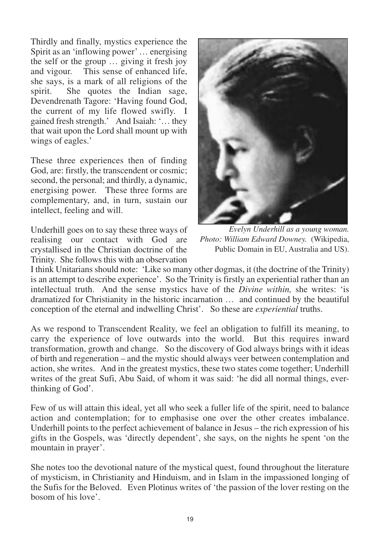Thirdly and finally, mystics experience the Spirit as an 'inflowing power' … energising the self or the group … giving it fresh joy and vigour. This sense of enhanced life, she says, is a mark of all religions of the spirit. She quotes the Indian sage, Devendrenath Tagore: 'Having found God, the current of my life flowed swifly. I gained fresh strength.' And Isaiah: '… they that wait upon the Lord shall mount up with wings of eagles.'

These three experiences then of finding God, are: firstly, the transcendent or cosmic; second, the personal; and thirdly, a dynamic, energising power. These three forms are complementary, and, in turn, sustain our intellect, feeling and will.

Underhill goes on to say these three ways of realising our contact with God are crystallised in the Christian doctrine of the Trinity. She follows this with an observation



*Evelyn Underhill as a young woman. Photo: William Edward Downey.* (Wikipedia, Public Domain in EU, Australia and US).

I think Unitarians should note: 'Like so many other dogmas, it (the doctrine of the Trinity) is an attempt to describe experience'. So the Trinity is firstly an experiential rather than an intellectual truth. And the sense mystics have of the *Divine within,* she writes: 'is dramatized for Christianity in the historic incarnation … and continued by the beautiful conception of the eternal and indwelling Christ'. So these are *experiential* truths.

As we respond to Transcendent Reality, we feel an obligation to fulfill its meaning, to carry the experience of love outwards into the world. But this requires inward transformation, growth and change. So the discovery of God always brings with it ideas of birth and regeneration – and the mystic should always veer between contemplation and action, she writes. And in the greatest mystics, these two states come together; Underhill writes of the great Sufi, Abu Said, of whom it was said: 'he did all normal things, everthinking of God'.

Few of us will attain this ideal, yet all who seek a fuller life of the spirit, need to balance action and contemplation; for to emphasise one over the other creates imbalance. Underhill points to the perfect achievement of balance in Jesus – the rich expression of his gifts in the Gospels, was 'directly dependent', she says, on the nights he spent 'on the mountain in prayer'.

She notes too the devotional nature of the mystical quest, found throughout the literature of mysticism, in Christianity and Hinduism, and in Islam in the impassioned longing of the Sufis for the Beloved. Even Plotinus writes of 'the passion of the lover resting on the bosom of his love'.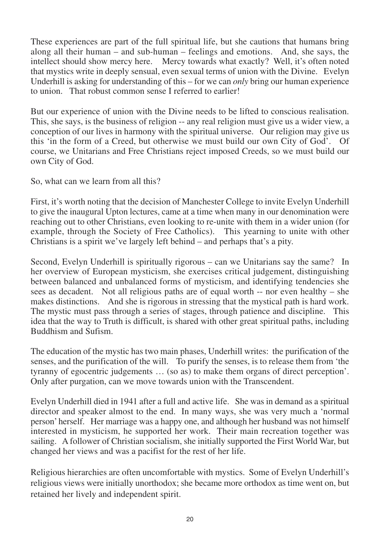These experiences are part of the full spiritual life, but she cautions that humans bring along all their human – and sub-human – feelings and emotions. And, she says, the intellect should show mercy here. Mercy towards what exactly? Well, it's often noted that mystics write in deeply sensual, even sexual terms of union with the Divine. Evelyn Underhill is asking for understanding of this – for we can *only* bring our human experience to union. That robust common sense I referred to earlier!

But our experience of union with the Divine needs to be lifted to conscious realisation. This, she says, is the business of religion -- any real religion must give us a wider view, a conception of our lives in harmony with the spiritual universe. Our religion may give us this 'in the form of a Creed, but otherwise we must build our own City of God'. Of course, we Unitarians and Free Christians reject imposed Creeds, so we must build our own City of God.

So, what can we learn from all this?

First, it's worth noting that the decision of Manchester College to invite Evelyn Underhill to give the inaugural Upton lectures, came at a time when many in our denomination were reaching out to other Christians, even looking to re-unite with them in a wider union (for example, through the Society of Free Catholics). This yearning to unite with other Christians is a spirit we've largely left behind – and perhaps that's a pity.

Second, Evelyn Underhill is spiritually rigorous – can we Unitarians say the same? In her overview of European mysticism, she exercises critical judgement, distinguishing between balanced and unbalanced forms of mysticism, and identifying tendencies she sees as decadent. Not all religious paths are of equal worth  $-$  nor even healthy  $-$  she makes distinctions. And she is rigorous in stressing that the mystical path is hard work. The mystic must pass through a series of stages, through patience and discipline. This idea that the way to Truth is difficult, is shared with other great spiritual paths, including Buddhism and Sufism.

The education of the mystic has two main phases, Underhill writes: the purification of the senses, and the purification of the will. To purify the senses, is to release them from 'the tyranny of egocentric judgements … (so as) to make them organs of direct perception'. Only after purgation, can we move towards union with the Transcendent.

Evelyn Underhill died in 1941 after a full and active life. She was in demand as a spiritual director and speaker almost to the end. In many ways, she was very much a 'normal person' herself. Her marriage was a happy one, and although her husband was not himself interested in mysticism, he supported her work. Their main recreation together was sailing. A follower of Christian socialism, she initially supported the First World War, but changed her views and was a pacifist for the rest of her life.

Religious hierarchies are often uncomfortable with mystics. Some of Evelyn Underhill's religious views were initially unorthodox; she became more orthodox as time went on, but retained her lively and independent spirit.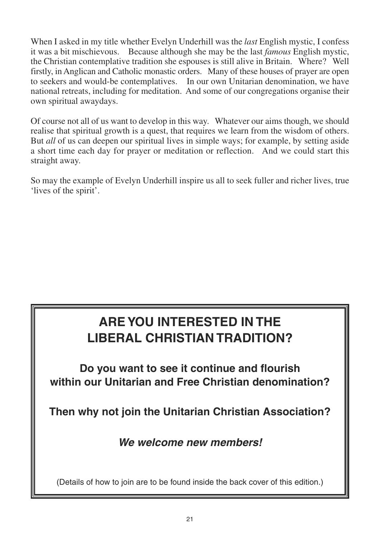When I asked in my title whether Evelyn Underhill was the *last* English mystic, I confess it was a bit mischievous. Because although she may be the last *famous* English mystic, the Christian contemplative tradition she espouses is still alive in Britain. Where? Well firstly, in Anglican and Catholic monastic orders. Many of these houses of prayer are open to seekers and would-be contemplatives. In our own Unitarian denomination, we have national retreats, including for meditation. And some of our congregations organise their own spiritual awaydays.

Of course not all of us want to develop in this way. Whatever our aims though, we should realise that spiritual growth is a quest, that requires we learn from the wisdom of others. But *all* of us can deepen our spiritual lives in simple ways; for example, by setting aside a short time each day for prayer or meditation or reflection. And we could start this straight away.

So may the example of Evelyn Underhill inspire us all to seek fuller and richer lives, true 'lives of the spirit'.

### **ARE YOU INTERESTED IN THE LIBERAL CHRISTIAN TRADITION?**

**Do you want to see it continue and flourish within our Unitarian and Free Christian denomination?**

**Then why not join the Unitarian Christian Association?**

*We welcome new members!*

(Details of how to join are to be found inside the back cover of this edition.)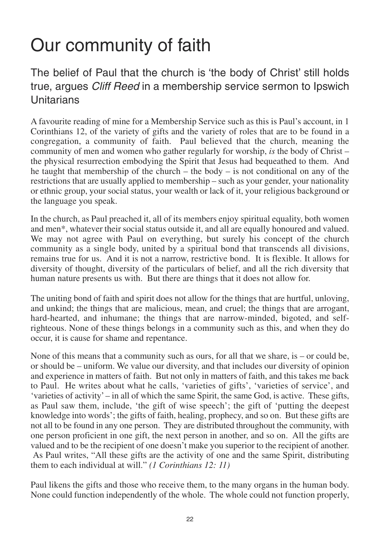## Our community of faith

The belief of Paul that the church is 'the body of Christ' still holds true, argues *Cliff Reed* in a membership service sermon to Ipswich **Unitarians** 

A favourite reading of mine for a Membership Service such as this is Paul's account, in 1 Corinthians 12, of the variety of gifts and the variety of roles that are to be found in a congregation, a community of faith. Paul believed that the church, meaning the community of men and women who gather regularly for worship, *is* the body of Christ – the physical resurrection embodying the Spirit that Jesus had bequeathed to them. And he taught that membership of the church – the body – is not conditional on any of the restrictions that are usually applied to membership – such as your gender, your nationality or ethnic group, your social status, your wealth or lack of it, your religious background or the language you speak.

In the church, as Paul preached it, all of its members enjoy spiritual equality, both women and men\*, whatever their social status outside it, and all are equally honoured and valued. We may not agree with Paul on everything, but surely his concept of the church community as a single body, united by a spiritual bond that transcends all divisions, remains true for us. And it is not a narrow, restrictive bond. It is flexible. It allows for diversity of thought, diversity of the particulars of belief, and all the rich diversity that human nature presents us with. But there are things that it does not allow for.

The uniting bond of faith and spirit does not allow for the things that are hurtful, unloving, and unkind; the things that are malicious, mean, and cruel; the things that are arrogant, hard-hearted, and inhumane; the things that are narrow-minded, bigoted, and selfrighteous. None of these things belongs in a community such as this, and when they do occur, it is cause for shame and repentance.

None of this means that a community such as ours, for all that we share, is – or could be, or should be – uniform. We value our diversity, and that includes our diversity of opinion and experience in matters of faith. But not only in matters of faith, and this takes me back to Paul. He writes about what he calls, 'varieties of gifts', 'varieties of service', and 'varieties of activity' – in all of which the same Spirit, the same God, is active. These gifts, as Paul saw them, include, 'the gift of wise speech'; the gift of 'putting the deepest knowledge into words'; the gifts of faith, healing, prophecy, and so on. But these gifts are not all to be found in any one person. They are distributed throughout the community, with one person proficient in one gift, the next person in another, and so on. All the gifts are valued and to be the recipient of one doesn't make you superior to the recipient of another. As Paul writes, "All these gifts are the activity of one and the same Spirit, distributing them to each individual at will." *(1 Corinthians 12: 11)*

Paul likens the gifts and those who receive them, to the many organs in the human body. None could function independently of the whole. The whole could not function properly,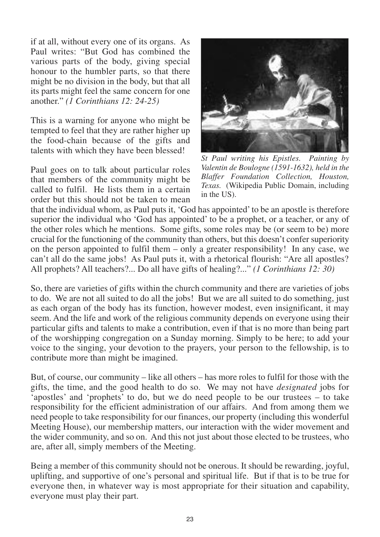if at all, without every one of its organs. As Paul writes: "But God has combined the various parts of the body, giving special honour to the humbler parts, so that there might be no division in the body, but that all its parts might feel the same concern for one another." *(1 Corinthians 12: 24-25)*

This is a warning for anyone who might be tempted to feel that they are rather higher up the food-chain because of the gifts and talents with which they have been blessed!

Paul goes on to talk about particular roles that members of the community might be called to fulfil. He lists them in a certain order but this should not be taken to mean



*St Paul writing his Epistles. Painting by Valentin de Boulogne (1591-1632), held in the Blaffer Foundation Collection, Houston, Texas.* (Wikipedia Public Domain, including in the US).

that the individual whom, as Paul puts it, 'God has appointed' to be an apostle is therefore superior the individual who 'God has appointed' to be a prophet, or a teacher, or any of the other roles which he mentions. Some gifts, some roles may be (or seem to be) more crucial for the functioning of the community than others, but this doesn't confer superiority on the person appointed to fulfil them – only a greater responsibility! In any case, we can't all do the same jobs! As Paul puts it, with a rhetorical flourish: "Are all apostles? All prophets? All teachers?... Do all have gifts of healing?..." *(1 Corinthians 12: 30)*

So, there are varieties of gifts within the church community and there are varieties of jobs to do. We are not all suited to do all the jobs! But we are all suited to do something, just as each organ of the body has its function, however modest, even insignificant, it may seem. And the life and work of the religious community depends on everyone using their particular gifts and talents to make a contribution, even if that is no more than being part of the worshipping congregation on a Sunday morning. Simply to be here; to add your voice to the singing, your devotion to the prayers, your person to the fellowship, is to contribute more than might be imagined.

But, of course, our community – like all others – has more roles to fulfil for those with the gifts, the time, and the good health to do so. We may not have *designated* jobs for 'apostles' and 'prophets' to do, but we do need people to be our trustees – to take responsibility for the efficient administration of our affairs. And from among them we need people to take responsibility for our finances, our property (including this wonderful Meeting House), our membership matters, our interaction with the wider movement and the wider community, and so on. And this not just about those elected to be trustees, who are, after all, simply members of the Meeting.

Being a member of this community should not be onerous. It should be rewarding, joyful, uplifting, and supportive of one's personal and spiritual life. But if that is to be true for everyone then, in whatever way is most appropriate for their situation and capability, everyone must play their part.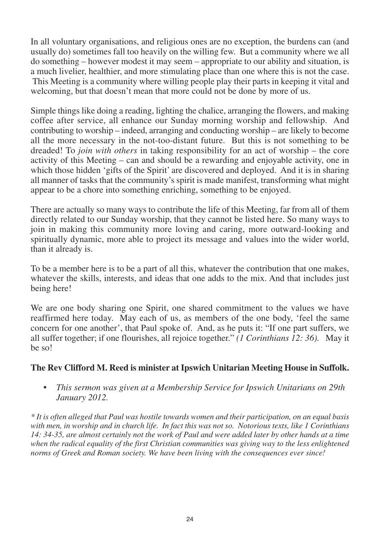In all voluntary organisations, and religious ones are no exception, the burdens can (and usually do) sometimes fall too heavily on the willing few. But a community where we all do something – however modest it may seem – appropriate to our ability and situation, is a much livelier, healthier, and more stimulating place than one where this is not the case. This Meeting is a community where willing people play their parts in keeping it vital and welcoming, but that doesn't mean that more could not be done by more of us.

Simple things like doing a reading, lighting the chalice, arranging the flowers, and making coffee after service, all enhance our Sunday morning worship and fellowship. And contributing to worship – indeed, arranging and conducting worship – are likely to become all the more necessary in the not-too-distant future. But this is not something to be dreaded! To *join with others* in taking responsibility for an act of worship – the core activity of this Meeting – can and should be a rewarding and enjoyable activity, one in which those hidden 'gifts of the Spirit' are discovered and deployed. And it is in sharing all manner of tasks that the community's spirit is made manifest, transforming what might appear to be a chore into something enriching, something to be enjoyed.

There are actually so many ways to contribute the life of this Meeting, far from all of them directly related to our Sunday worship, that they cannot be listed here. So many ways to join in making this community more loving and caring, more outward-looking and spiritually dynamic, more able to project its message and values into the wider world, than it already is.

To be a member here is to be a part of all this, whatever the contribution that one makes, whatever the skills, interests, and ideas that one adds to the mix. And that includes just being here!

We are one body sharing one Spirit, one shared commitment to the values we have reaffirmed here today. May each of us, as members of the one body, 'feel the same concern for one another', that Paul spoke of. And, as he puts it: "If one part suffers, we all suffer together; if one flourishes, all rejoice together." *(1 Corinthians 12: 36).* May it be so!

### **The Rev Clifford M. Reed is minister at Ipswich Unitarian Meeting House in Suffolk.**

• *This sermon was given at a Membership Service for Ipswich Unitarians on 29th January 2012.*

*\* It is often alleged that Paul was hostile towards women and their participation, on an equal basis with men, in worship and in church life. In fact this was not so. Notorious texts, like 1 Corinthians 14: 34-35, are almost certainly not the work of Paul and were added later by other hands at a time when the radical equality of the first Christian communities was giving way to the less enlightened norms of Greek and Roman society. We have been living with the consequences ever since!*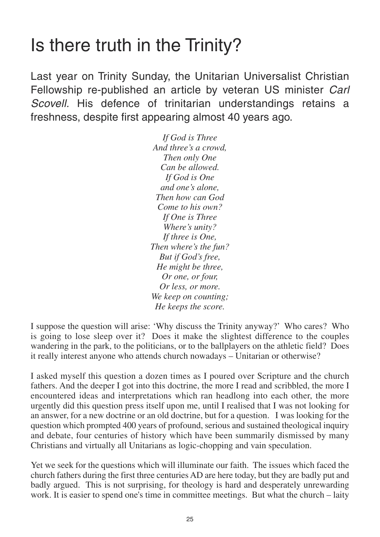### Is there truth in the Trinity?

Last year on Trinity Sunday, the Unitarian Universalist Christian Fellowship re-published an article by veteran US minister *Carl Scovell.* His defence of trinitarian understandings retains a freshness, despite first appearing almost 40 years ago.

> *If God is Three And three's a crowd, Then only One Can be allowed. If God is One and one's alone, Then how can God Come to his own? If One is Three Where's unity? If three is One, Then where's the fun? But if God's free, He might be three, Or one, or four, Or less, or more. We keep on counting; He keeps the score.*

I suppose the question will arise: 'Why discuss the Trinity anyway?' Who cares? Who is going to lose sleep over it? Does it make the slightest difference to the couples wandering in the park, to the politicians, or to the ballplayers on the athletic field? Does it really interest anyone who attends church nowadays – Unitarian or otherwise?

I asked myself this question a dozen times as I poured over Scripture and the church fathers. And the deeper I got into this doctrine, the more I read and scribbled, the more I encountered ideas and interpretations which ran headlong into each other, the more urgently did this question press itself upon me, until I realised that I was not looking for an answer, for a new doctrine or an old doctrine, but for a question. I was looking for the question which prompted 400 years of profound, serious and sustained theological inquiry and debate, four centuries of history which have been summarily dismissed by many Christians and virtually all Unitarians as logic-chopping and vain speculation.

Yet we seek for the questions which will illuminate our faith. The issues which faced the church fathers during the first three centuries AD are here today, but they are badly put and badly argued. This is not surprising, for theology is hard and desperately unrewarding work. It is easier to spend one's time in committee meetings. But what the church – laity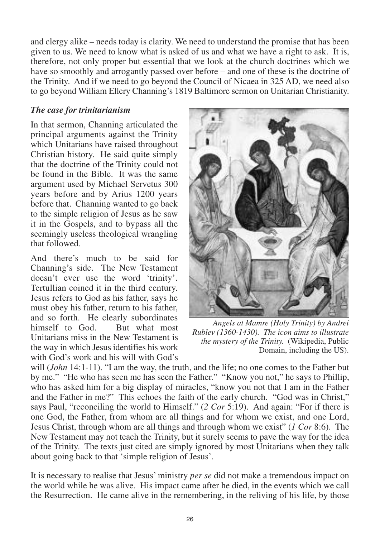and clergy alike – needs today is clarity. We need to understand the promise that has been given to us. We need to know what is asked of us and what we have a right to ask. It is, therefore, not only proper but essential that we look at the church doctrines which we have so smoothly and arrogantly passed over before – and one of these is the doctrine of the Trinity. And if we need to go beyond the Council of Nicaea in 325 AD, we need also to go beyond William Ellery Channing's 1819 Baltimore sermon on Unitarian Christianity.

#### *The case for trinitarianism*

In that sermon, Channing articulated the principal arguments against the Trinity which Unitarians have raised throughout Christian history. He said quite simply that the doctrine of the Trinity could not be found in the Bible. It was the same argument used by Michael Servetus 300 years before and by Arius 1200 years before that. Channing wanted to go back to the simple religion of Jesus as he saw it in the Gospels, and to bypass all the seemingly useless theological wrangling that followed.

And there's much to be said for Channing's side. The New Testament doesn't ever use the word 'trinity'. Tertullian coined it in the third century. Jesus refers to God as his father, says he must obey his father, return to his father, and so forth. He clearly subordinates himself to God. But what most Unitarians miss in the New Testament is the way in which Jesus identifies his work with God's work and his will with God's



*Angels at Mamre (Holy Trinity) by Andrei Rublev (1360-1430). The icon aims to illustrate the mystery of the Trinity.* (Wikipedia, Public Domain, including the US).

will (*John* 14:1-11). "I am the way, the truth, and the life; no one comes to the Father but by me." "He who has seen me has seen the Father." "Know you not," he says to Phillip, who has asked him for a big display of miracles, "know you not that I am in the Father and the Father in me?" This echoes the faith of the early church. "God was in Christ," says Paul, "reconciling the world to Himself." (*2 Cor* 5:19). And again: "For if there is one God, the Father, from whom are all things and for whom we exist, and one Lord, Jesus Christ, through whom are all things and through whom we exist" (*1 Cor* 8:6). The New Testament may not teach the Trinity, but it surely seems to pave the way for the idea of the Trinity. The texts just cited are simply ignored by most Unitarians when they talk about going back to that 'simple religion of Jesus'.

It is necessary to realise that Jesus' ministry *per se* did not make a tremendous impact on the world while he was alive. His impact came after he died, in the events which we call the Resurrection. He came alive in the remembering, in the reliving of his life, by those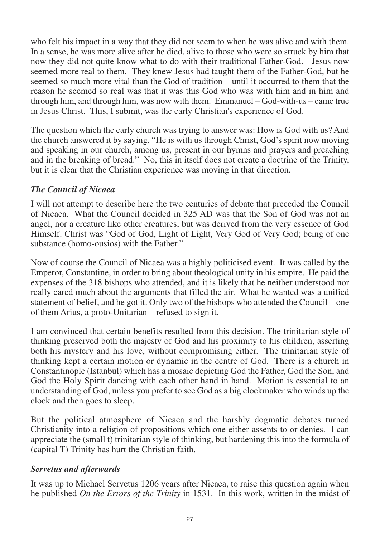who felt his impact in a way that they did not seem to when he was alive and with them. In a sense, he was more alive after he died, alive to those who were so struck by him that now they did not quite know what to do with their traditional Father-God. Jesus now seemed more real to them. They knew Jesus had taught them of the Father-God, but he seemed so much more vital than the God of tradition – until it occurred to them that the reason he seemed so real was that it was this God who was with him and in him and through him, and through him, was now with them. Emmanuel – God-with-us – came true in Jesus Christ. This, I submit, was the early Christian's experience of God.

The question which the early church was trying to answer was: How is God with us? And the church answered it by saying, "He is with us through Christ, God's spirit now moving and speaking in our church, among us, present in our hymns and prayers and preaching and in the breaking of bread." No, this in itself does not create a doctrine of the Trinity, but it is clear that the Christian experience was moving in that direction.

### *The Council of Nicaea*

I will not attempt to describe here the two centuries of debate that preceded the Council of Nicaea. What the Council decided in 325 AD was that the Son of God was not an angel, nor a creature like other creatures, but was derived from the very essence of God Himself. Christ was "God of God, Light of Light, Very God of Very God; being of one substance (homo-ousios) with the Father."

Now of course the Council of Nicaea was a highly politicised event. It was called by the Emperor, Constantine, in order to bring about theological unity in his empire. He paid the expenses of the 318 bishops who attended, and it is likely that he neither understood nor really cared much about the arguments that filled the air. What he wanted was a unified statement of belief, and he got it. Only two of the bishops who attended the Council – one of them Arius, a proto-Unitarian – refused to sign it.

I am convinced that certain benefits resulted from this decision. The trinitarian style of thinking preserved both the majesty of God and his proximity to his children, asserting both his mystery and his love, without compromising either. The trinitarian style of thinking kept a certain motion or dynamic in the centre of God. There is a church in Constantinople (Istanbul) which has a mosaic depicting God the Father, God the Son, and God the Holy Spirit dancing with each other hand in hand. Motion is essential to an understanding of God, unless you prefer to see God as a big clockmaker who winds up the clock and then goes to sleep.

But the political atmosphere of Nicaea and the harshly dogmatic debates turned Christianity into a religion of propositions which one either assents to or denies. I can appreciate the (small t) trinitarian style of thinking, but hardening this into the formula of (capital T) Trinity has hurt the Christian faith.

### *Servetus and afterwards*

It was up to Michael Servetus 1206 years after Nicaea, to raise this question again when he published *On the Errors of the Trinity* in 1531. In this work, written in the midst of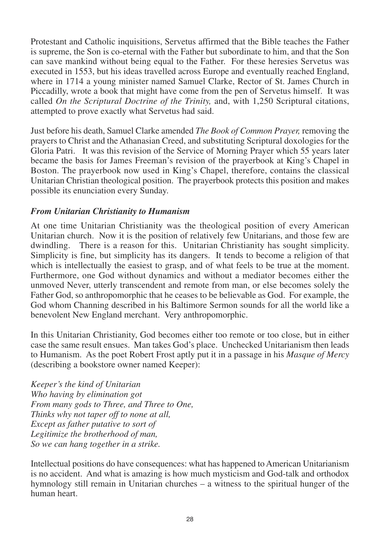Protestant and Catholic inquisitions, Servetus affirmed that the Bible teaches the Father is supreme, the Son is co-eternal with the Father but subordinate to him, and that the Son can save mankind without being equal to the Father. For these heresies Servetus was executed in 1553, but his ideas travelled across Europe and eventually reached England, where in 1714 a young minister named Samuel Clarke, Rector of St. James Church in Piccadilly, wrote a book that might have come from the pen of Servetus himself. It was called *On the Scriptural Doctrine of the Trinity,* and, with 1,250 Scriptural citations, attempted to prove exactly what Servetus had said.

Just before his death, Samuel Clarke amended *The Book of Common Prayer,* removing the prayers to Christ and the Athanasian Creed, and substituting Scriptural doxologies for the Gloria Patri. It was this revision of the Service of Morning Prayer which 55 years later became the basis for James Freeman's revision of the prayerbook at King's Chapel in Boston. The prayerbook now used in King's Chapel, therefore, contains the classical Unitarian Christian theological position. The prayerbook protects this position and makes possible its enunciation every Sunday.

#### *From Unitarian Christianity to Humanism*

At one time Unitarian Christianity was the theological position of every American Unitarian church. Now it is the position of relatively few Unitarians, and those few are dwindling. There is a reason for this. Unitarian Christianity has sought simplicity. Simplicity is fine, but simplicity has its dangers. It tends to become a religion of that which is intellectually the easiest to grasp, and of what feels to be true at the moment. Furthermore, one God without dynamics and without a mediator becomes either the unmoved Never, utterly transcendent and remote from man, or else becomes solely the Father God, so anthropomorphic that he ceases to be believable as God. For example, the God whom Channing described in his Baltimore Sermon sounds for all the world like a benevolent New England merchant. Very anthropomorphic.

In this Unitarian Christianity, God becomes either too remote or too close, but in either case the same result ensues. Man takes God's place. Unchecked Unitarianism then leads to Humanism. As the poet Robert Frost aptly put it in a passage in his *Masque of Mercy* (describing a bookstore owner named Keeper):

*Keeper's the kind of Unitarian Who having by elimination got From many gods to Three, and Three to One, Thinks why not taper off to none at all, Except as father putative to sort of Legitimize the brotherhood of man, So we can hang together in a strike.*

Intellectual positions do have consequences: what has happened to American Unitarianism is no accident. And what is amazing is how much mysticism and God-talk and orthodox hymnology still remain in Unitarian churches – a witness to the spiritual hunger of the human heart.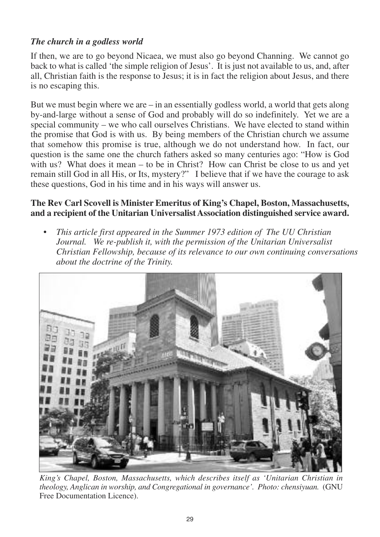### *The church in a godless world*

If then, we are to go beyond Nicaea, we must also go beyond Channing. We cannot go back to what is called 'the simple religion of Jesus'. It is just not available to us, and, after all, Christian faith is the response to Jesus; it is in fact the religion about Jesus, and there is no escaping this.

But we must begin where we are  $-\infty$  in an essentially godless world, a world that gets along by-and-large without a sense of God and probably will do so indefinitely. Yet we are a special community – we who call ourselves Christians. We have elected to stand within the promise that God is with us. By being members of the Christian church we assume that somehow this promise is true, although we do not understand how. In fact, our question is the same one the church fathers asked so many centuries ago: "How is God with us? What does it mean – to be in Christ? How can Christ be close to us and yet remain still God in all His, or Its, mystery?" I believe that if we have the courage to ask these questions, God in his time and in his ways will answer us.

#### **The Rev Carl Scovell is Minister Emeritus of King's Chapel, Boston, Massachusetts, and a recipient of the Unitarian Universalist Association distinguished service award.**

• *This article first appeared in the Summer 1973 edition of The UU Christian Journal. We re-publish it, with the permission of the Unitarian Universalist Christian Fellowship, because of its relevance to our own continuing conversations about the doctrine of the Trinity.*



*King's Chapel, Boston, Massachusetts, which describes itself as 'Unitarian Christian in theology, Anglican in worship, and Congregational in governance'. Photo: chensiyuan.* (GNU Free Documentation Licence).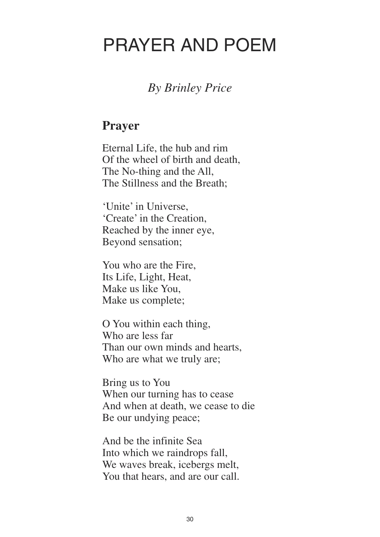### PRAYER AND POEM

### *By Brinley Price*

### **Prayer**

Eternal Life, the hub and rim Of the wheel of birth and death, The No-thing and the All, The Stillness and the Breath;

'Unite' in Universe, 'Create' in the Creation, Reached by the inner eye, Beyond sensation;

You who are the Fire, Its Life, Light, Heat, Make us like You, Make us complete;

O You within each thing, Who are less far Than our own minds and hearts, Who are what we truly are;

Bring us to You When our turning has to cease And when at death, we cease to die Be our undying peace;

And be the infinite Sea Into which we raindrops fall, We waves break, icebergs melt, You that hears, and are our call.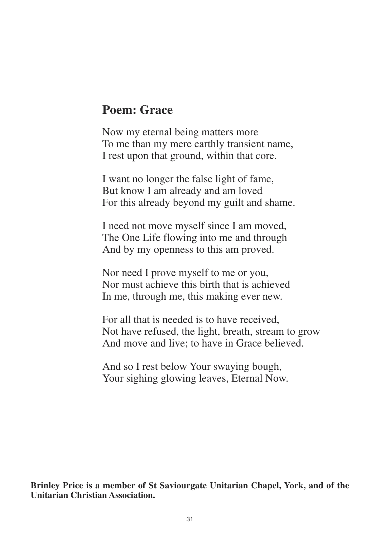### **Poem: Grace**

Now my eternal being matters more To me than my mere earthly transient name, I rest upon that ground, within that core.

I want no longer the false light of fame, But know I am already and am loved For this already beyond my guilt and shame.

I need not move myself since I am moved, The One Life flowing into me and through And by my openness to this am proved.

Nor need I prove myself to me or you, Nor must achieve this birth that is achieved In me, through me, this making ever new.

For all that is needed is to have received, Not have refused, the light, breath, stream to grow And move and live; to have in Grace believed.

And so I rest below Your swaying bough, Your sighing glowing leaves, Eternal Now.

**Brinley Price is a member of St Saviourgate Unitarian Chapel, York, and of the Unitarian Christian Association.**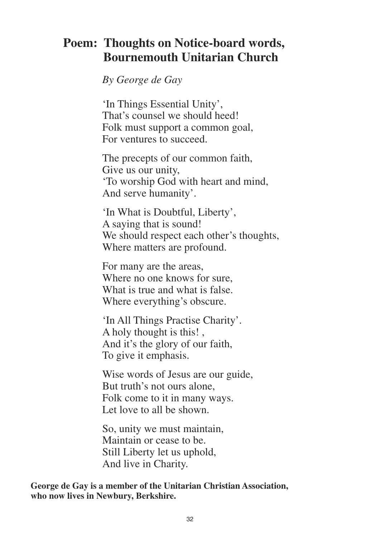### **Poem: Thoughts on Notice-board words, Bournemouth Unitarian Church**

*By George de Gay*

'In Things Essential Unity', That's counsel we should heed! Folk must support a common goal, For ventures to succeed.

The precepts of our common faith, Give us our unity, 'To worship God with heart and mind, And serve humanity'.

'In What is Doubtful, Liberty', A saying that is sound! We should respect each other's thoughts, Where matters are profound.

For many are the areas, Where no one knows for sure, What is true and what is false. Where everything's obscure.

'In All Things Practise Charity'. A holy thought is this! , And it's the glory of our faith, To give it emphasis.

Wise words of Jesus are our guide, But truth's not ours alone, Folk come to it in many ways. Let love to all be shown.

So, unity we must maintain, Maintain or cease to be. Still Liberty let us uphold, And live in Charity.

**George de Gay is a member of the Unitarian Christian Association, who now lives in Newbury, Berkshire.**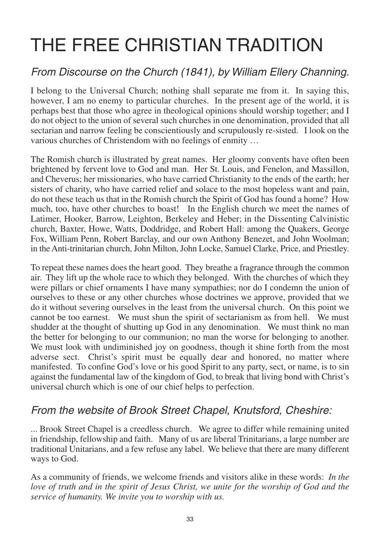# THE FREE CHRISTIAN TRADITION

### *From Discourse on the Church (1841), by William Ellery Channing.*

I belong to the Universal Church; nothing shall separate me from it. In saying this, however, I am no enemy to particular churches. In the present age of the world, it is perhaps best that those who agree in theological opinions should worship together; and I do not object to the union of several such churches in one denomination, provided that all sectarian and narrow feeling be conscientiously and scrupulously re-sisted. I look on the various churches of Christendom with no feelings of enmity …

The Romish church is illustrated by great names. Her gloomy convents have often been brightened by fervent love to God and man. Her St. Louis, and Fenelon, and Massillon, and Cheverus; her missionaries, who have carried Christianity to the ends of the earth; her sisters of charity, who have carried relief and solace to the most hopeless want and pain, do not these teach us that in the Romish church the Spirit of God has found a home? How much, too, have other churches to boast! In the English church we meet the names of Latimer, Hooker, Barrow, Leighton, Berkeley and Heber; in the Dissenting Calvinistic church, Baxter, Howe, Watts, Doddridge, and Robert Hall: among the Quakers, George Fox, William Penn, Robert Barclay, and our own Anthony Benezet, and John Woolman; in the Anti-trinitarian church, John Milton, John Locke, Samuel Clarke, Price, and Priestley.

To repeat these names does the heart good. They breathe a fragrance through the common air. They lift up the whole race to which they belonged. With the churches of which they were pillars or chief ornaments I have many sympathies; nor do I condemn the union of ourselves to these or any other churches whose doctrines we approve, provided that we do it without severing ourselves in the least from the universal church. On this point we cannot be too earnest. We must shun the spirit of sectarianism as from hell. We must shudder at the thought of shutting up God in any denomination. We must think no man the better for belonging to our communion; no man the worse for belonging to another. We must look with undiminished joy on goodness, though it shine forth from the most adverse sect. Christ's spirit must be equally dear and honored, no matter where manifested. To confine God's love or his good Spirit to any party, sect, or name, is to sin against the fundamental law of the kingdom of God, to break that living bond with Christ's universal church which is one of our chief helps to perfection.

### *From the website of Brook Street Chapel, Knutsford, Cheshire:*

... Brook Street Chapel is a creedless church. We agree to differ while remaining united in friendship, fellowship and faith. Many of us are liberal Trinitarians, a large number are traditional Unitarians, and a few refuse any label. We believe that there are many different ways to God.

As a community of friends, we welcome friends and visitors alike in these words: *In the love of truth and in the spirit of Jesus Christ, we unite for the worship of God and the service of humanity. We invite you to worship with us.*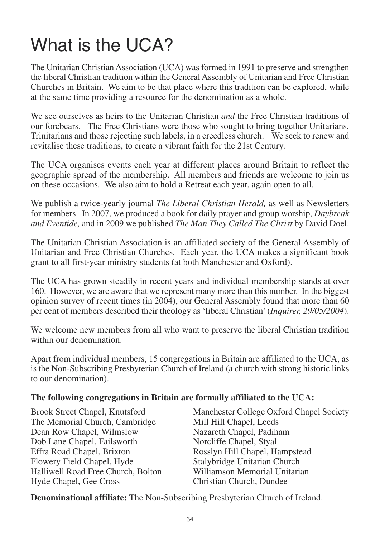# What is the UCA?

The Unitarian Christian Association (UCA) was formed in 1991 to preserve and strengthen the liberal Christian tradition within the General Assembly of Unitarian and Free Christian Churches in Britain. We aim to be that place where this tradition can be explored, while at the same time providing a resource for the denomination as a whole.

We see ourselves as heirs to the Unitarian Christian *and* the Free Christian traditions of our forebears. The Free Christians were those who sought to bring together Unitarians, Trinitarians and those rejecting such labels, in a creedless church. We seek to renew and revitalise these traditions, to create a vibrant faith for the 21st Century.

The UCA organises events each year at different places around Britain to reflect the geographic spread of the membership. All members and friends are welcome to join us on these occasions. We also aim to hold a Retreat each year, again open to all.

We publish a twice-yearly journal *The Liberal Christian Herald,* as well as Newsletters for members. In 2007, we produced a book for daily prayer and group worship, *Daybreak and Eventide,* and in 2009 we published *The Man They Called The Christ* by David Doel.

The Unitarian Christian Association is an affiliated society of the General Assembly of Unitarian and Free Christian Churches. Each year, the UCA makes a significant book grant to all first-year ministry students (at both Manchester and Oxford).

The UCA has grown steadily in recent years and individual membership stands at over 160. However, we are aware that we represent many more than this number. In the biggest opinion survey of recent times (in 2004), our General Assembly found that more than 60 per cent of members described their theology as 'liberal Christian' (*Inquirer, 29/05/2004*).

We welcome new members from all who want to preserve the liberal Christian tradition within our denomination.

Apart from individual members, 15 congregations in Britain are affiliated to the UCA, as is the Non-Subscribing Presbyterian Church of Ireland (a church with strong historic links to our denomination).

### **The following congregations in Britain are formally affiliated to the UCA:**

The Memorial Church, Cambridge Mill Hill Chapel, Leeds Dean Row Chapel, Wilmslow Nazareth Chapel, Padiham Dob Lane Chapel, Failsworth Norcliffe Chapel, Styal Effra Road Chapel, Brixton Rosslyn Hill Chapel, Hampstead Flowery Field Chapel, Hyde Stalybridge Unitarian Church<br>
Halliwell Road Free Church Bolton Williamson Memorial Unitarian Halliwell Road Free Church, Bolton Hyde Chapel, Gee Cross Christian Church, Dundee

Brook Street Chapel, Knutsford Manchester College Oxford Chapel Society

**Denominational affiliate:** The Non-Subscribing Presbyterian Church of Ireland.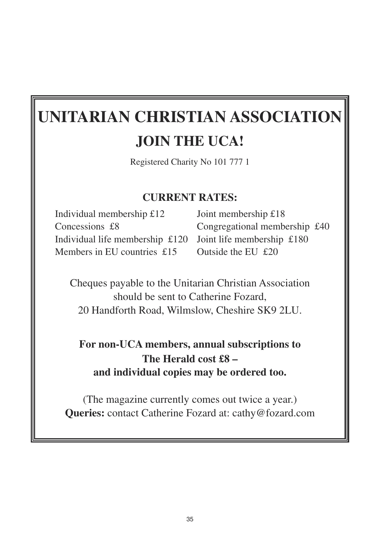### **UNITARIAN CHRISTIAN ASSOCIATION JOIN THE UCA!**

Registered Charity No 101 777 1

### **CURRENT RATES:**

Individual membership £12 Joint membership £18 Concessions £8 Congregational membership £40 Individual life membership £120 Joint life membership £180 Members in EU countries £15 Outside the EU £20

Cheques payable to the Unitarian Christian Association should be sent to Catherine Fozard, 20 Handforth Road, Wilmslow, Cheshire SK9 2LU.

### **For non-UCA members, annual subscriptions to The Herald cost £8 – and individual copies may be ordered too.**

(The magazine currently comes out twice a year.) **Queries:** contact Catherine Fozard at: cathy@fozard.com